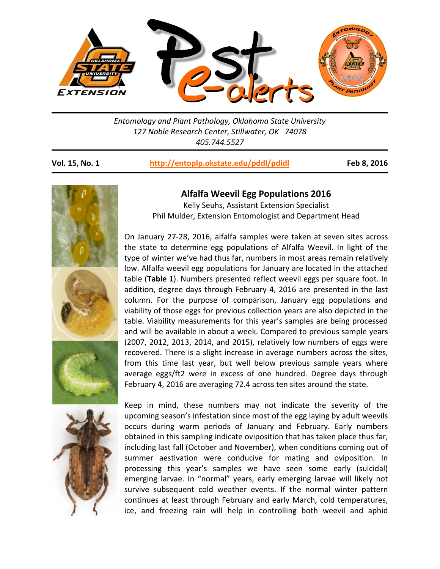

*Entomology and Plant Pathology, Oklahoma State University 127 Noble Research Center, Stillwater, OK 74078 405.744.5527* 

**Vol. 15, No. 1 http://entoplp.okstate.edu/pddl/pdidl Feb 8, 2016**



## **Alfalfa Weevil Egg Populations 2016**

Kelly Seuhs, Assistant Extension Specialist Phil Mulder, Extension Entomologist and Department Head

On January 27-28, 2016, alfalfa samples were taken at seven sites across the state to determine egg populations of Alfalfa Weevil. In light of the type of winter we've had thus far, numbers in most areas remain relatively low. Alfalfa weevil egg populations for January are located in the attached table (**Table 1**). Numbers presented reflect weevil eggs per square foot. In addition, degree days through February 4, 2016 are presented in the last column. For the purpose of comparison, January egg populations and viability of those eggs for previous collection years are also depicted in the table. Viability measurements for this year's samples are being processed and will be available in about a week. Compared to previous sample years (2007, 2012, 2013, 2014, and 2015), relatively low numbers of eggs were recovered. There is a slight increase in average numbers across the sites, from this time last year, but well below previous sample years where average eggs/ft2 were in excess of one hundred. Degree days through February 4, 2016 are averaging 72.4 across ten sites around the state.

Keep in mind, these numbers may not indicate the severity of the upcoming season's infestation since most of the egg laying by adult weevils occurs during warm periods of January and February. Early numbers obtained in this sampling indicate oviposition that has taken place thus far, including last fall (October and November), when conditions coming out of summer aestivation were conducive for mating and oviposition. In processing this year's samples we have seen some early (suicidal) emerging larvae. In "normal" years, early emerging larvae will likely not survive subsequent cold weather events. If the normal winter pattern continues at least through February and early March, cold temperatures, ice, and freezing rain will help in controlling both weevil and aphid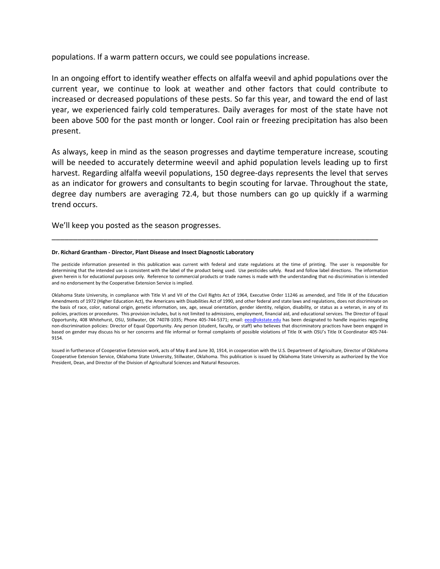populations. If a warm pattern occurs, we could see populations increase.

In an ongoing effort to identify weather effects on alfalfa weevil and aphid populations over the current year, we continue to look at weather and other factors that could contribute to increased or decreased populations of these pests. So far this year, and toward the end of last year, we experienced fairly cold temperatures. Daily averages for most of the state have not been above 500 for the past month or longer. Cool rain or freezing precipitation has also been present.

As always, keep in mind as the season progresses and daytime temperature increase, scouting will be needed to accurately determine weevil and aphid population levels leading up to first harvest. Regarding alfalfa weevil populations, 150 degree-days represents the level that serves as an indicator for growers and consultants to begin scouting for larvae. Throughout the state, degree day numbers are averaging 72.4, but those numbers can go up quickly if a warming trend occurs.

We'll keep you posted as the season progresses.

## **Dr. Richard Grantham ‐ Director, Plant Disease and Insect Diagnostic Laboratory**

The pesticide information presented in this publication was current with federal and state regulations at the time of printing. The user is responsible for determining that the intended use is consistent with the label of the product being used. Use pesticides safely. Read and follow label directions. The information given herein is for educational purposes only. Reference to commercial products or trade names is made with the understanding that no discrimination is intended and no endorsement by the Cooperative Extension Service is implied.

\_\_\_\_\_\_\_\_\_\_\_\_\_\_\_\_\_\_\_\_\_\_\_\_\_\_\_\_\_\_\_\_\_\_\_\_\_\_\_\_\_\_\_\_\_\_\_\_\_\_\_\_\_\_\_\_\_\_\_\_\_\_\_\_\_\_\_\_\_\_\_\_\_\_\_\_

Oklahoma State University, in compliance with Title VI and VII of the Civil Rights Act of 1964, Executive Order 11246 as amended, and Title IX of the Education Amendments of 1972 (Higher Education Act), the Americans with Disabilities Act of 1990, and other federal and state laws and regulations, does not discriminate on the basis of race, color, national origin, genetic information, sex, age, sexual orientation, gender identity, religion, disability, or status as a veteran, in any of its policies, practices or procedures. This provision includes, but is not limited to admissions, employment, financial aid, and educational services. The Director of Equal Opportunity, 408 Whitehurst, OSU, Stillwater, OK 74078-1035; Phone 405-744-5371; email: eeo@okstate.edu has been designated to handle inquiries regarding non-discrimination policies: Director of Equal Opportunity. Any person (student, faculty, or staff) who believes that discriminatory practices have been engaged in based on gender may discuss his or her concerns and file informal or formal complaints of possible violations of Title IX with OSU's Title IX Coordinator 405‐744‐ 9154.

Issued in furtherance of Cooperative Extension work, acts of May 8 and June 30, 1914, in cooperation with the U.S. Department of Agriculture, Director of Oklahoma Cooperative Extension Service, Oklahoma State University, Stillwater, Oklahoma. This publication is issued by Oklahoma State University as authorized by the Vice President, Dean, and Director of the Division of Agricultural Sciences and Natural Resources.